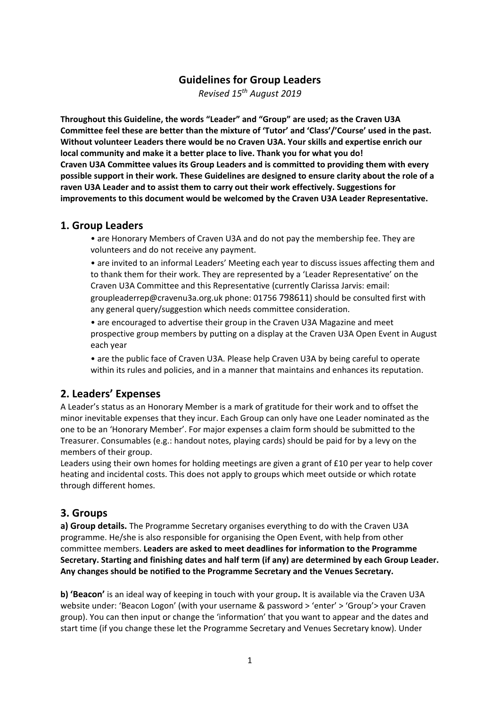# **Guidelines for Group Leaders**

*Revised 15th August 2019* 

**Throughout this Guideline, the words "Leader" and "Group" are used; as the Craven U3A Committee feel these are better than the mixture of 'Tutor' and 'Class'/'Course' used in the past. Without volunteer Leaders there would be no Craven U3A. Your skills and expertise enrich our local community and make it a better place to live. Thank you for what you do! Craven U3A Committee values its Group Leaders and is committed to providing them with every possible support in their work. These Guidelines are designed to ensure clarity about the role of a raven U3A Leader and to assist them to carry out their work effectively. Suggestions for improvements to this document would be welcomed by the Craven U3A Leader Representative.** 

#### **1. Group Leaders**

• are Honorary Members of Craven U3A and do not pay the membership fee. They are volunteers and do not receive any payment.

• are invited to an informal Leaders' Meeting each year to discuss issues affecting them and to thank them for their work. They are represented by a 'Leader Representative' on the Craven U3A Committee and this Representative (currently Clarissa Jarvis: email: groupleaderrep@cravenu3a.org.uk phone: 01756 798611) should be consulted first with any general query/suggestion which needs committee consideration.

• are encouraged to advertise their group in the Craven U3A Magazine and meet prospective group members by putting on a display at the Craven U3A Open Event in August each year

• are the public face of Craven U3A. Please help Craven U3A by being careful to operate within its rules and policies, and in a manner that maintains and enhances its reputation.

#### **2. Leaders' Expenses**

A Leader's status as an Honorary Member is a mark of gratitude for their work and to offset the minor inevitable expenses that they incur. Each Group can only have one Leader nominated as the one to be an 'Honorary Member'. For major expenses a claim form should be submitted to the Treasurer. Consumables (e.g.: handout notes, playing cards) should be paid for by a levy on the members of their group.

Leaders using their own homes for holding meetings are given a grant of £10 per year to help cover heating and incidental costs. This does not apply to groups which meet outside or which rotate through different homes.

#### **3. Groups**

**a) Group details.** The Programme Secretary organises everything to do with the Craven U3A programme. He/she is also responsible for organising the Open Event, with help from other committee members. **Leaders are asked to meet deadlines for information to the Programme Secretary. Starting and finishing dates and half term (if any) are determined by each Group Leader. Any changes should be notified to the Programme Secretary and the Venues Secretary.** 

**b) 'Beacon'** is an ideal way of keeping in touch with your group**.** It is available via the Craven U3A website under: 'Beacon Logon' (with your username & password > 'enter' > 'Group'> your Craven group). You can then input or change the 'information' that you want to appear and the dates and start time (if you change these let the Programme Secretary and Venues Secretary know). Under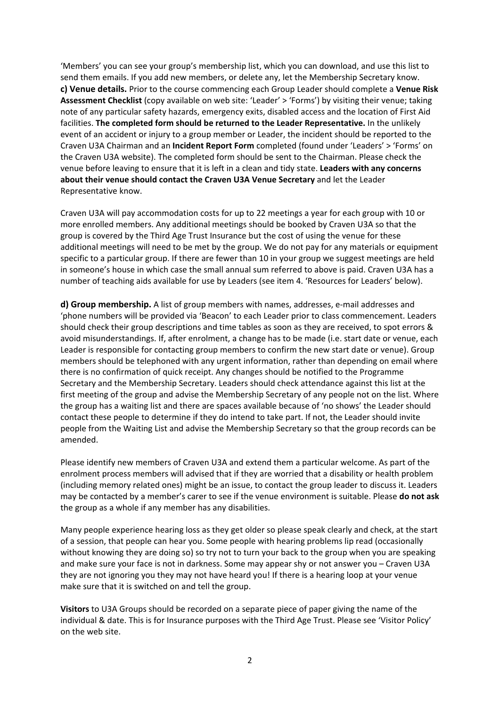'Members' you can see your group's membership list, which you can download, and use this list to send them emails. If you add new members, or delete any, let the Membership Secretary know. **c) Venue details.** Prior to the course commencing each Group Leader should complete a **Venue Risk Assessment Checklist** (copy available on web site: 'Leader' > 'Forms') by visiting their venue; taking note of any particular safety hazards, emergency exits, disabled access and the location of First Aid facilities. **The completed form should be returned to the Leader Representative.** In the unlikely event of an accident or injury to a group member or Leader, the incident should be reported to the Craven U3A Chairman and an **Incident Report Form** completed (found under 'Leaders' > 'Forms' on the Craven U3A website). The completed form should be sent to the Chairman. Please check the venue before leaving to ensure that it is left in a clean and tidy state. **Leaders with any concerns about their venue should contact the Craven U3A Venue Secretary** and let the Leader Representative know.

Craven U3A will pay accommodation costs for up to 22 meetings a year for each group with 10 or more enrolled members. Any additional meetings should be booked by Craven U3A so that the group is covered by the Third Age Trust Insurance but the cost of using the venue for these additional meetings will need to be met by the group. We do not pay for any materials or equipment specific to a particular group. If there are fewer than 10 in your group we suggest meetings are held in someone's house in which case the small annual sum referred to above is paid. Craven U3A has a number of teaching aids available for use by Leaders (see item 4. 'Resources for Leaders' below).

**d) Group membership.** A list of group members with names, addresses, e-mail addresses and 'phone numbers will be provided via 'Beacon' to each Leader prior to class commencement. Leaders should check their group descriptions and time tables as soon as they are received, to spot errors & avoid misunderstandings. If, after enrolment, a change has to be made (i.e. start date or venue, each Leader is responsible for contacting group members to confirm the new start date or venue). Group members should be telephoned with any urgent information, rather than depending on email where there is no confirmation of quick receipt. Any changes should be notified to the Programme Secretary and the Membership Secretary. Leaders should check attendance against this list at the first meeting of the group and advise the Membership Secretary of any people not on the list. Where the group has a waiting list and there are spaces available because of 'no shows' the Leader should contact these people to determine if they do intend to take part. If not, the Leader should invite people from the Waiting List and advise the Membership Secretary so that the group records can be amended.

Please identify new members of Craven U3A and extend them a particular welcome. As part of the enrolment process members will advised that if they are worried that a disability or health problem (including memory related ones) might be an issue, to contact the group leader to discuss it. Leaders may be contacted by a member's carer to see if the venue environment is suitable. Please **do not ask**  the group as a whole if any member has any disabilities.

Many people experience hearing loss as they get older so please speak clearly and check, at the start of a session, that people can hear you. Some people with hearing problems lip read (occasionally without knowing they are doing so) so try not to turn your back to the group when you are speaking and make sure your face is not in darkness. Some may appear shy or not answer you – Craven U3A they are not ignoring you they may not have heard you! If there is a hearing loop at your venue make sure that it is switched on and tell the group.

**Visitors** to U3A Groups should be recorded on a separate piece of paper giving the name of the individual & date. This is for Insurance purposes with the Third Age Trust. Please see 'Visitor Policy' on the web site.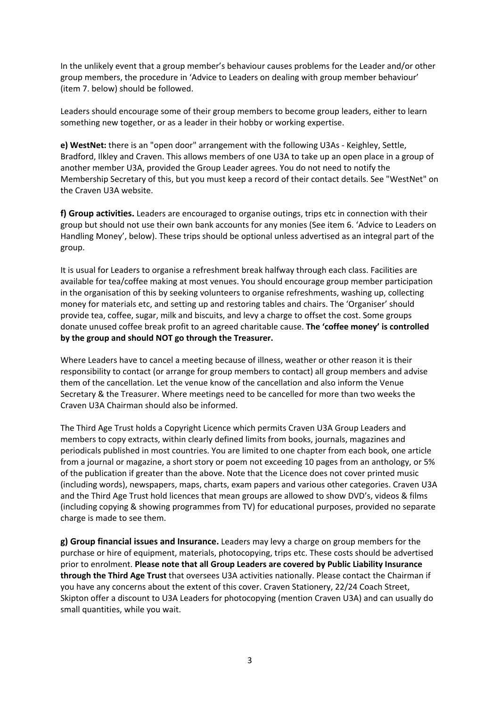In the unlikely event that a group member's behaviour causes problems for the Leader and/or other group members, the procedure in 'Advice to Leaders on dealing with group member behaviour' (item 7. below) should be followed.

Leaders should encourage some of their group members to become group leaders, either to learn something new together, or as a leader in their hobby or working expertise.

**e) WestNet:** there is an "open door" arrangement with the following U3As ‐ Keighley, Settle, Bradford, Ilkley and Craven. This allows members of one U3A to take up an open place in a group of another member U3A, provided the Group Leader agrees. You do not need to notify the Membership Secretary of this, but you must keep a record of their contact details. See "WestNet" on the Craven U3A website.

**f) Group activities.** Leaders are encouraged to organise outings, trips etc in connection with their group but should not use their own bank accounts for any monies (See item 6. 'Advice to Leaders on Handling Money', below). These trips should be optional unless advertised as an integral part of the group.

It is usual for Leaders to organise a refreshment break halfway through each class. Facilities are available for tea/coffee making at most venues. You should encourage group member participation in the organisation of this by seeking volunteers to organise refreshments, washing up, collecting money for materials etc, and setting up and restoring tables and chairs. The 'Organiser' should provide tea, coffee, sugar, milk and biscuits, and levy a charge to offset the cost. Some groups donate unused coffee break profit to an agreed charitable cause. **The 'coffee money' is controlled by the group and should NOT go through the Treasurer.** 

Where Leaders have to cancel a meeting because of illness, weather or other reason it is their responsibility to contact (or arrange for group members to contact) all group members and advise them of the cancellation. Let the venue know of the cancellation and also inform the Venue Secretary & the Treasurer. Where meetings need to be cancelled for more than two weeks the Craven U3A Chairman should also be informed.

The Third Age Trust holds a Copyright Licence which permits Craven U3A Group Leaders and members to copy extracts, within clearly defined limits from books, journals, magazines and periodicals published in most countries. You are limited to one chapter from each book, one article from a journal or magazine, a short story or poem not exceeding 10 pages from an anthology, or 5% of the publication if greater than the above. Note that the Licence does not cover printed music (including words), newspapers, maps, charts, exam papers and various other categories. Craven U3A and the Third Age Trust hold licences that mean groups are allowed to show DVD's, videos & films (including copying & showing programmes from TV) for educational purposes, provided no separate charge is made to see them.

**g) Group financial issues and Insurance.** Leaders may levy a charge on group members for the purchase or hire of equipment, materials, photocopying, trips etc. These costs should be advertised prior to enrolment. **Please note that all Group Leaders are covered by Public Liability Insurance through the Third Age Trust** that oversees U3A activities nationally. Please contact the Chairman if you have any concerns about the extent of this cover. Craven Stationery, 22/24 Coach Street, Skipton offer a discount to U3A Leaders for photocopying (mention Craven U3A) and can usually do small quantities, while you wait.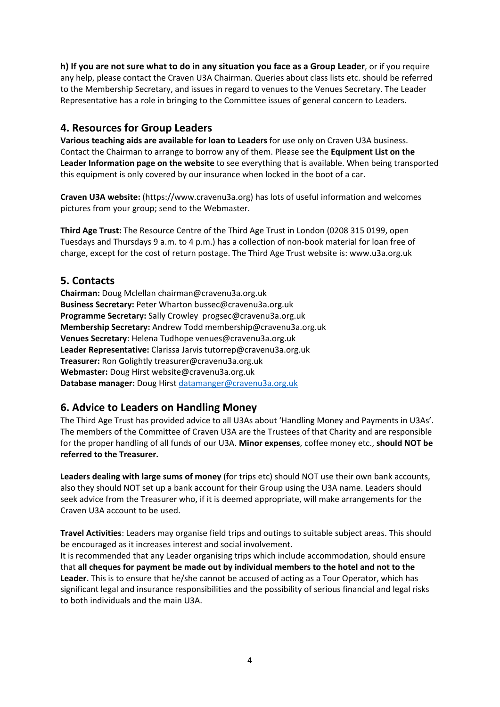**h) If you are not sure what to do in any situation you face as a Group Leader**, or if you require any help, please contact the Craven U3A Chairman. Queries about class lists etc. should be referred to the Membership Secretary, and issues in regard to venues to the Venues Secretary. The Leader Representative has a role in bringing to the Committee issues of general concern to Leaders.

### **4. Resources for Group Leaders**

**Various teaching aids are available for loan to Leaders** for use only on Craven U3A business. Contact the Chairman to arrange to borrow any of them. Please see the **Equipment List on the Leader Information page on the website** to see everything that is available. When being transported this equipment is only covered by our insurance when locked in the boot of a car.

**Craven U3A website:** (https://www.cravenu3a.org) has lots of useful information and welcomes pictures from your group; send to the Webmaster.

**Third Age Trust:** The Resource Centre of the Third Age Trust in London (0208 315 0199, open Tuesdays and Thursdays 9 a.m. to 4 p.m.) has a collection of non‐book material for loan free of charge, except for the cost of return postage. The Third Age Trust website is: www.u3a.org.uk

### **5. Contacts**

**Chairman:** Doug Mclellan chairman@cravenu3a.org.uk **Business Secretary:** Peter Wharton bussec@cravenu3a.org.uk **Programme Secretary:** Sally Crowley progsec@cravenu3a.org.uk **Membership Secretary:** Andrew Todd membership@cravenu3a.org.uk **Venues Secretary**: Helena Tudhope venues@cravenu3a.org.uk **Leader Representative:** Clarissa Jarvis tutorrep@cravenu3a.org.uk **Treasurer:** Ron Golightly treasurer@cravenu3a.org.uk **Webmaster:** Doug Hirst website@cravenu3a.org.uk **Database manager:** Doug Hirst datamanger@cravenu3a.org.uk

## **6. Advice to Leaders on Handling Money**

The Third Age Trust has provided advice to all U3As about 'Handling Money and Payments in U3As'. The members of the Committee of Craven U3A are the Trustees of that Charity and are responsible for the proper handling of all funds of our U3A. **Minor expenses**, coffee money etc., **should NOT be referred to the Treasurer.** 

**Leaders dealing with large sums of money** (for trips etc) should NOT use their own bank accounts, also they should NOT set up a bank account for their Group using the U3A name. Leaders should seek advice from the Treasurer who, if it is deemed appropriate, will make arrangements for the Craven U3A account to be used.

**Travel Activities**: Leaders may organise field trips and outings to suitable subject areas. This should be encouraged as it increases interest and social involvement.

It is recommended that any Leader organising trips which include accommodation, should ensure that **all cheques for payment be made out by individual members to the hotel and not to the Leader.** This is to ensure that he/she cannot be accused of acting as a Tour Operator, which has significant legal and insurance responsibilities and the possibility of serious financial and legal risks to both individuals and the main U3A.